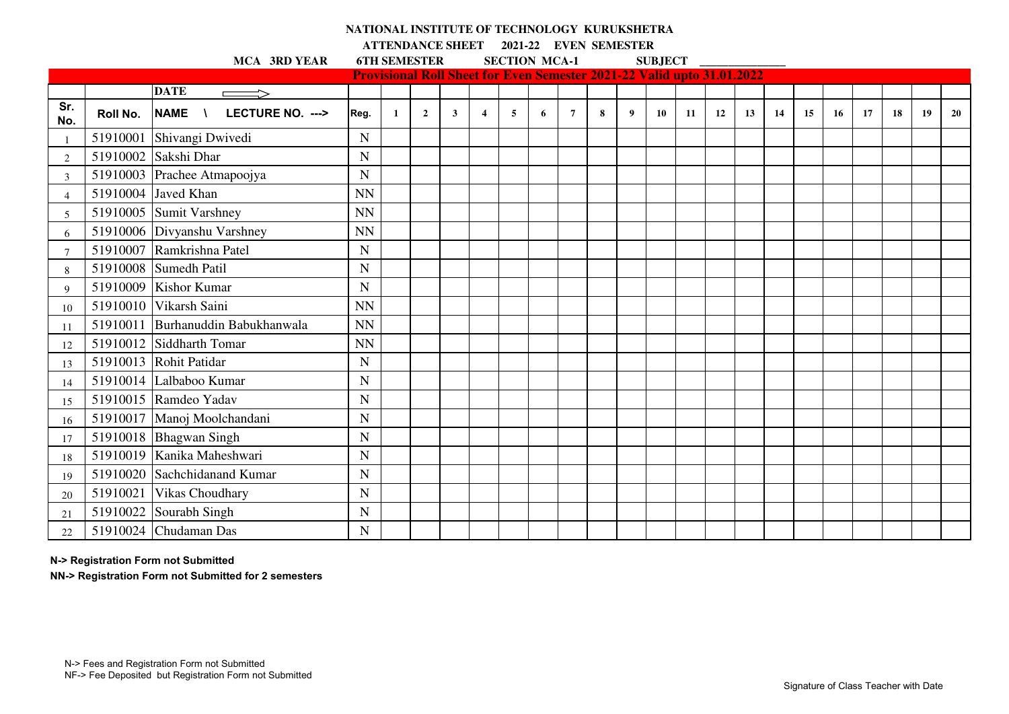## **NATIONAL INSTITUTE OF TECHNOLOGY KURUKSHETRA**

**ATTENDANCE SHEET 2021-22 EVEN SEMESTER** 

**MCA 3RD YEAR 6TH SEMESTER SECTION MCA-1 SUBJECT** 

|                |          |                                               | <b>Provisional Roll Sheet for Even Semester 2021-22 Valid upto 31.01.2022</b> |              |                |              |                         |   |   |                 |   |   |           |     |    |    |    |    |    |    |    |    |    |
|----------------|----------|-----------------------------------------------|-------------------------------------------------------------------------------|--------------|----------------|--------------|-------------------------|---|---|-----------------|---|---|-----------|-----|----|----|----|----|----|----|----|----|----|
|                |          | <b>DATE</b>                                   |                                                                               |              |                |              |                         |   |   |                 |   |   |           |     |    |    |    |    |    |    |    |    |    |
| Sr.<br>No.     | Roll No. | LECTURE NO. ---><br><b>NAME</b><br>$\sqrt{ }$ | Reg.                                                                          | $\mathbf{1}$ | $\overline{2}$ | $\mathbf{3}$ | $\overline{\mathbf{4}}$ | 5 | 6 | $7\phantom{.0}$ | 8 | 9 | <b>10</b> | -11 | 12 | 13 | 14 | 15 | 16 | 17 | 18 | 19 | 20 |
|                |          | 51910001 Shivangi Dwivedi                     | $\mathbf N$                                                                   |              |                |              |                         |   |   |                 |   |   |           |     |    |    |    |    |    |    |    |    |    |
| $\overline{c}$ |          | 51910002 Sakshi Dhar                          | $\mathbf N$                                                                   |              |                |              |                         |   |   |                 |   |   |           |     |    |    |    |    |    |    |    |    |    |
| 3              |          | 51910003 Prachee Atmapoojya                   | $\mathbf N$                                                                   |              |                |              |                         |   |   |                 |   |   |           |     |    |    |    |    |    |    |    |    |    |
| $\overline{4}$ |          | 51910004 Javed Khan                           | <b>NN</b>                                                                     |              |                |              |                         |   |   |                 |   |   |           |     |    |    |    |    |    |    |    |    |    |
| 5              |          | 51910005 Sumit Varshney                       | <b>NN</b>                                                                     |              |                |              |                         |   |   |                 |   |   |           |     |    |    |    |    |    |    |    |    |    |
| 6              |          | 51910006 Divyanshu Varshney                   | <b>NN</b>                                                                     |              |                |              |                         |   |   |                 |   |   |           |     |    |    |    |    |    |    |    |    |    |
| 7              |          | 51910007 Ramkrishna Patel                     | $\mathbf N$                                                                   |              |                |              |                         |   |   |                 |   |   |           |     |    |    |    |    |    |    |    |    |    |
| 8              |          | 51910008 Sumedh Patil                         | $\mathbf N$                                                                   |              |                |              |                         |   |   |                 |   |   |           |     |    |    |    |    |    |    |    |    |    |
| 9              |          | 51910009 Kishor Kumar                         | $\mathbf N$                                                                   |              |                |              |                         |   |   |                 |   |   |           |     |    |    |    |    |    |    |    |    |    |
| 10             |          | 51910010 Vikarsh Saini                        | <b>NN</b>                                                                     |              |                |              |                         |   |   |                 |   |   |           |     |    |    |    |    |    |    |    |    |    |
| 11             |          | 51910011 Burhanuddin Babukhanwala             | <b>NN</b>                                                                     |              |                |              |                         |   |   |                 |   |   |           |     |    |    |    |    |    |    |    |    |    |
| 12             |          | 51910012 Siddharth Tomar                      | <b>NN</b>                                                                     |              |                |              |                         |   |   |                 |   |   |           |     |    |    |    |    |    |    |    |    |    |
| 13             |          | 51910013 Rohit Patidar                        | N                                                                             |              |                |              |                         |   |   |                 |   |   |           |     |    |    |    |    |    |    |    |    |    |
| 14             |          | 51910014 Lalbaboo Kumar                       | $\mathbf N$                                                                   |              |                |              |                         |   |   |                 |   |   |           |     |    |    |    |    |    |    |    |    |    |
| 15             |          | 51910015 Ramdeo Yadav                         | $\mathbf N$                                                                   |              |                |              |                         |   |   |                 |   |   |           |     |    |    |    |    |    |    |    |    |    |
| 16             |          | 51910017 Manoj Moolchandani                   | $\mathbf N$                                                                   |              |                |              |                         |   |   |                 |   |   |           |     |    |    |    |    |    |    |    |    |    |
| 17             |          | 51910018 Bhagwan Singh                        | ${\bf N}$                                                                     |              |                |              |                         |   |   |                 |   |   |           |     |    |    |    |    |    |    |    |    |    |
| 18             |          | 51910019 Kanika Maheshwari                    | $\mathbf N$                                                                   |              |                |              |                         |   |   |                 |   |   |           |     |    |    |    |    |    |    |    |    |    |
| 19             |          | 51910020 Sachchidanand Kumar                  | ${\bf N}$                                                                     |              |                |              |                         |   |   |                 |   |   |           |     |    |    |    |    |    |    |    |    |    |
| 20             |          | 51910021 Vikas Choudhary                      | $\mathbf N$                                                                   |              |                |              |                         |   |   |                 |   |   |           |     |    |    |    |    |    |    |    |    |    |
| 21             |          | 51910022 Sourabh Singh                        | $\mathbf N$                                                                   |              |                |              |                         |   |   |                 |   |   |           |     |    |    |    |    |    |    |    |    |    |
| 22             |          | 51910024 Chudaman Das                         | $\mathbf N$                                                                   |              |                |              |                         |   |   |                 |   |   |           |     |    |    |    |    |    |    |    |    |    |

**N-> Registration Form not Submitted**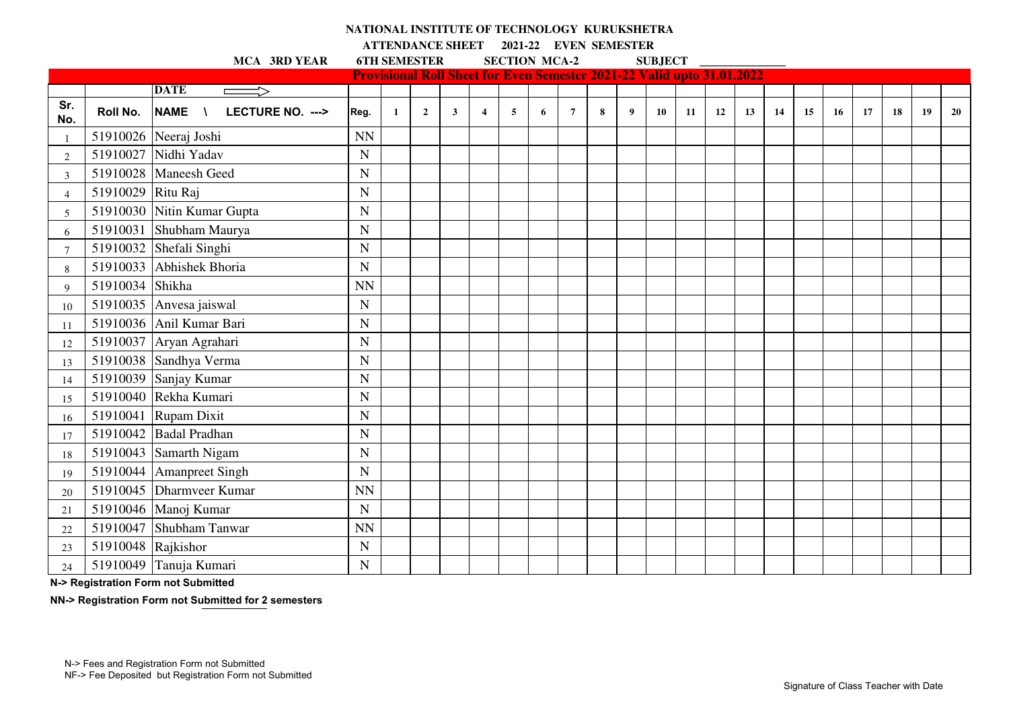## **NATIONAL INSTITUTE OF TECHNOLOGY KURUKSHETRA**

**ATTENDANCE SHEET 2021-22 EVEN SEMESTER** 

**MCA 3RD YEAR 6TH SEMESTER SECTION MCA-2 SUBJECT** 

|                 |                    |                                               |             |   |                |              |                |   |   |                |   |                  |           | <b>Provisional Roll Sheet for Even Semester 2021-22 Valid upto 31.01.2022</b> |    |    |    |    |    |    |    |    |    |
|-----------------|--------------------|-----------------------------------------------|-------------|---|----------------|--------------|----------------|---|---|----------------|---|------------------|-----------|-------------------------------------------------------------------------------|----|----|----|----|----|----|----|----|----|
|                 |                    | <b>DATE</b><br><b>Contract Contract</b>       |             |   |                |              |                |   |   |                |   |                  |           |                                                                               |    |    |    |    |    |    |    |    |    |
| Sr.<br>No.      | Roll No.           | <b>NAME</b><br>$\sqrt{ }$<br>LECTURE NO. ---> | Reg.        | 1 | $\overline{2}$ | $\mathbf{3}$ | $\overline{4}$ | 5 | 6 | $\overline{7}$ | 8 | $\boldsymbol{9}$ | <b>10</b> | 11                                                                            | 12 | 13 | 14 | 15 | 16 | 17 | 18 | 19 | 20 |
| -1              |                    | 51910026 Neeraj Joshi                         | <b>NN</b>   |   |                |              |                |   |   |                |   |                  |           |                                                                               |    |    |    |    |    |    |    |    |    |
| $\overline{2}$  |                    | 51910027 Nidhi Yadav                          | ${\bf N}$   |   |                |              |                |   |   |                |   |                  |           |                                                                               |    |    |    |    |    |    |    |    |    |
| 3               |                    | 51910028 Maneesh Geed                         | $\mathbf N$ |   |                |              |                |   |   |                |   |                  |           |                                                                               |    |    |    |    |    |    |    |    |    |
| $\overline{4}$  | 51910029 Ritu Raj  |                                               | $\mathbf N$ |   |                |              |                |   |   |                |   |                  |           |                                                                               |    |    |    |    |    |    |    |    |    |
| 5               |                    | 51910030 Nitin Kumar Gupta                    | ${\bf N}$   |   |                |              |                |   |   |                |   |                  |           |                                                                               |    |    |    |    |    |    |    |    |    |
| 6               |                    | 51910031 Shubham Maurya                       | $\mathbf N$ |   |                |              |                |   |   |                |   |                  |           |                                                                               |    |    |    |    |    |    |    |    |    |
| $7\phantom{.0}$ |                    | 51910032 Shefali Singhi                       | $\mathbf N$ |   |                |              |                |   |   |                |   |                  |           |                                                                               |    |    |    |    |    |    |    |    |    |
| 8               |                    | 51910033 Abhishek Bhoria                      | $\mathbf N$ |   |                |              |                |   |   |                |   |                  |           |                                                                               |    |    |    |    |    |    |    |    |    |
| 9               | 51910034 Shikha    |                                               | <b>NN</b>   |   |                |              |                |   |   |                |   |                  |           |                                                                               |    |    |    |    |    |    |    |    |    |
| 10              |                    | 51910035 Anvesa jaiswal                       | $\mathbf N$ |   |                |              |                |   |   |                |   |                  |           |                                                                               |    |    |    |    |    |    |    |    |    |
| 11              |                    | 51910036 Anil Kumar Bari                      | $\mathbf N$ |   |                |              |                |   |   |                |   |                  |           |                                                                               |    |    |    |    |    |    |    |    |    |
| 12              |                    | 51910037 Aryan Agrahari                       | $\mathbf N$ |   |                |              |                |   |   |                |   |                  |           |                                                                               |    |    |    |    |    |    |    |    |    |
| 13              |                    | 51910038 Sandhya Verma                        | ${\bf N}$   |   |                |              |                |   |   |                |   |                  |           |                                                                               |    |    |    |    |    |    |    |    |    |
| 14              |                    | 51910039 Sanjay Kumar                         | ${\bf N}$   |   |                |              |                |   |   |                |   |                  |           |                                                                               |    |    |    |    |    |    |    |    |    |
| 15              |                    | 51910040 Rekha Kumari                         | $\mathbf N$ |   |                |              |                |   |   |                |   |                  |           |                                                                               |    |    |    |    |    |    |    |    |    |
| 16              |                    | 51910041 Rupam Dixit                          | $\mathbf N$ |   |                |              |                |   |   |                |   |                  |           |                                                                               |    |    |    |    |    |    |    |    |    |
| 17              |                    | 51910042 Badal Pradhan                        | ${\bf N}$   |   |                |              |                |   |   |                |   |                  |           |                                                                               |    |    |    |    |    |    |    |    |    |
| 18              |                    | 51910043 Samarth Nigam                        | $\mathbf N$ |   |                |              |                |   |   |                |   |                  |           |                                                                               |    |    |    |    |    |    |    |    |    |
| 19              |                    | 51910044 Amanpreet Singh                      | $\mathbf N$ |   |                |              |                |   |   |                |   |                  |           |                                                                               |    |    |    |    |    |    |    |    |    |
| 20              |                    | 51910045 Dharmveer Kumar                      | <b>NN</b>   |   |                |              |                |   |   |                |   |                  |           |                                                                               |    |    |    |    |    |    |    |    |    |
| 21              |                    | 51910046   Manoj Kumar                        | $\mathbf N$ |   |                |              |                |   |   |                |   |                  |           |                                                                               |    |    |    |    |    |    |    |    |    |
| 22              |                    | 51910047 Shubham Tanwar                       | <b>NN</b>   |   |                |              |                |   |   |                |   |                  |           |                                                                               |    |    |    |    |    |    |    |    |    |
| 23              | 51910048 Rajkishor |                                               | ${\bf N}$   |   |                |              |                |   |   |                |   |                  |           |                                                                               |    |    |    |    |    |    |    |    |    |
| 24              |                    | 51910049 Tanuja Kumari                        | ${\bf N}$   |   |                |              |                |   |   |                |   |                  |           |                                                                               |    |    |    |    |    |    |    |    |    |

**N-> Registration Form not Submitted**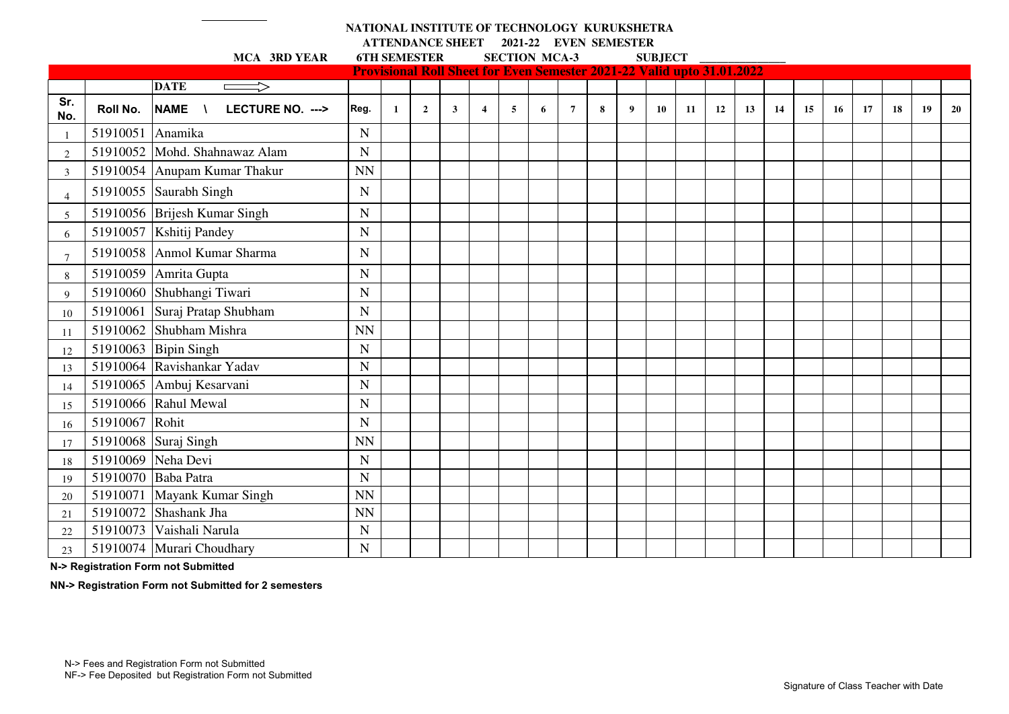## **NATIONAL INSTITUTE OF TECHNOLOGY KURUKSHETRA ATTENDANCE SHEET 2021-22 EVEN SEMESTER**

|                 |                  | MCA 3RD YEAR                     | <b>6TH SEMESTER</b> |              |                |   |                                                                               | <b>SECTION MCA-3</b> |   |                |   |                  | <b>SUBJECT</b> |    |    |    |    |    |    |    |           |    |    |
|-----------------|------------------|----------------------------------|---------------------|--------------|----------------|---|-------------------------------------------------------------------------------|----------------------|---|----------------|---|------------------|----------------|----|----|----|----|----|----|----|-----------|----|----|
|                 |                  |                                  |                     |              |                |   | <b>Provisional Roll Sheet for Even Semester 2021-22 Valid upto 31.01.2022</b> |                      |   |                |   |                  |                |    |    |    |    |    |    |    |           |    |    |
|                 |                  | <b>DATE</b><br>$\Longrightarrow$ |                     |              |                |   |                                                                               |                      |   |                |   |                  |                |    |    |    |    |    |    |    |           |    |    |
| Sr.<br>No.      | Roll No.         | NAME \<br>LECTURE NO. --->       | Reg.                | $\mathbf{1}$ | $\overline{2}$ | 3 | $\overline{\mathbf{4}}$                                                       | 5                    | 6 | $\overline{7}$ | 8 | $\boldsymbol{9}$ | 10             | 11 | 12 | 13 | 14 | 15 | 16 | 17 | <b>18</b> | 19 | 20 |
|                 | 51910051 Anamika |                                  | $\mathbf N$         |              |                |   |                                                                               |                      |   |                |   |                  |                |    |    |    |    |    |    |    |           |    |    |
| $\overline{2}$  |                  | 51910052 Mohd. Shahnawaz Alam    | $\mathbf N$         |              |                |   |                                                                               |                      |   |                |   |                  |                |    |    |    |    |    |    |    |           |    |    |
| 3               |                  | 51910054 Anupam Kumar Thakur     | <b>NN</b>           |              |                |   |                                                                               |                      |   |                |   |                  |                |    |    |    |    |    |    |    |           |    |    |
| $\overline{4}$  |                  | 51910055 Saurabh Singh           | N                   |              |                |   |                                                                               |                      |   |                |   |                  |                |    |    |    |    |    |    |    |           |    |    |
| 5               |                  | 51910056 Brijesh Kumar Singh     | N                   |              |                |   |                                                                               |                      |   |                |   |                  |                |    |    |    |    |    |    |    |           |    |    |
| 6               |                  | 51910057 Kshitij Pandey          | $\mathbf N$         |              |                |   |                                                                               |                      |   |                |   |                  |                |    |    |    |    |    |    |    |           |    |    |
| $7\phantom{.0}$ |                  | 51910058 Anmol Kumar Sharma      | $\mathbf N$         |              |                |   |                                                                               |                      |   |                |   |                  |                |    |    |    |    |    |    |    |           |    |    |
| 8               |                  | 51910059 Amrita Gupta            | $\mathbf N$         |              |                |   |                                                                               |                      |   |                |   |                  |                |    |    |    |    |    |    |    |           |    |    |
| 9               |                  | 51910060 Shubhangi Tiwari        | $\mathbf N$         |              |                |   |                                                                               |                      |   |                |   |                  |                |    |    |    |    |    |    |    |           |    |    |
| 10              |                  | 51910061 Suraj Pratap Shubham    | $\mathbf N$         |              |                |   |                                                                               |                      |   |                |   |                  |                |    |    |    |    |    |    |    |           |    |    |
| -11             |                  | 51910062 Shubham Mishra          | <b>NN</b>           |              |                |   |                                                                               |                      |   |                |   |                  |                |    |    |    |    |    |    |    |           |    |    |
| 12              |                  | 51910063 Bipin Singh             | $\mathbf N$         |              |                |   |                                                                               |                      |   |                |   |                  |                |    |    |    |    |    |    |    |           |    |    |
| 13              |                  | 51910064 Ravishankar Yadav       | $\overline{N}$      |              |                |   |                                                                               |                      |   |                |   |                  |                |    |    |    |    |    |    |    |           |    |    |
| 14              |                  | 51910065 Ambuj Kesarvani         | $\mathbf N$         |              |                |   |                                                                               |                      |   |                |   |                  |                |    |    |    |    |    |    |    |           |    |    |
| 15              |                  | 51910066 Rahul Mewal             | $\mathbf N$         |              |                |   |                                                                               |                      |   |                |   |                  |                |    |    |    |    |    |    |    |           |    |    |
| 16              | 51910067 Rohit   |                                  | $\mathbf N$         |              |                |   |                                                                               |                      |   |                |   |                  |                |    |    |    |    |    |    |    |           |    |    |
| 17              |                  | 51910068 Suraj Singh             | <b>NN</b>           |              |                |   |                                                                               |                      |   |                |   |                  |                |    |    |    |    |    |    |    |           |    |    |
| 18              |                  | 51910069 Neha Devi               | $\mathbf N$         |              |                |   |                                                                               |                      |   |                |   |                  |                |    |    |    |    |    |    |    |           |    |    |
| 19              |                  | 51910070 Baba Patra              | $\mathbf N$         |              |                |   |                                                                               |                      |   |                |   |                  |                |    |    |    |    |    |    |    |           |    |    |
| 20              |                  | 51910071 Mayank Kumar Singh      | <b>NN</b>           |              |                |   |                                                                               |                      |   |                |   |                  |                |    |    |    |    |    |    |    |           |    |    |
| 21              |                  | $51910072$ Shashank Jha          | <b>NN</b>           |              |                |   |                                                                               |                      |   |                |   |                  |                |    |    |    |    |    |    |    |           |    |    |
| 22              | 51910073         | Vaishali Narula                  | ${\bf N}$           |              |                |   |                                                                               |                      |   |                |   |                  |                |    |    |    |    |    |    |    |           |    |    |
| 23              |                  | 51910074 Murari Choudhary        | $\mathbf N$         |              |                |   |                                                                               |                      |   |                |   |                  |                |    |    |    |    |    |    |    |           |    |    |

**N-> Registration Form not Submitted**